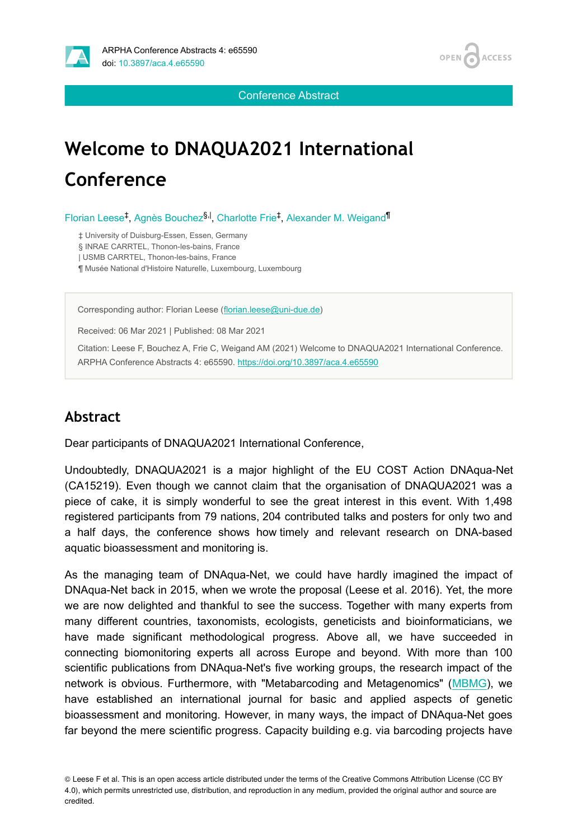

Conference Abstract

# **Welcome to DNAQUA2021 International Conference**

Florian Leese<sup>‡</sup>, Agnès Bouchez<sup>§, |</sup>, Charlotte Frie<sup>‡</sup>, Alexander M. Weigand<sup>¶</sup>

‡ University of Duisburg-Essen, Essen, Germany

§ INRAE CARRTEL, Thonon-les-bains, France

| USMB CARRTEL, Thonon-les-bains, France

¶ Musée National d'Histoire Naturelle, Luxembourg, Luxembourg

Corresponding author: Florian Leese [\(florian.leese@uni-due.de](mailto:florian.leese@uni-due.de))

Received: 06 Mar 2021 | Published: 08 Mar 2021

Citation: Leese F, Bouchez A, Frie C, Weigand AM (2021) Welcome to DNAQUA2021 International Conference. ARPHA Conference Abstracts 4: e65590. <https://doi.org/10.3897/aca.4.e65590>

### **Abstract**

Dear participants of DNAQUA2021 International Conference,

Undoubtedly, DNAQUA2021 is a major highlight of the EU COST Action DNAqua-Net (CA15219). Even though we cannot claim that the organisation of DNAQUA2021 was a piece of cake, it is simply wonderful to see the great interest in this event. With 1,498 registered participants from 79 nations, 204 contributed talks and posters for only two and a half days, the conference shows how timely and relevant research on DNA-based aquatic bioassessment and monitoring is.

As the managing team of DNAqua-Net, we could have hardly imagined the impact of DNAqua-Net back in 2015, when we wrote the proposal (Leese et al. 2016). Yet, the more we are now delighted and thankful to see the success. Together with many experts from many different countries, taxonomists, ecologists, geneticists and bioinformaticians, we have made significant methodological progress. Above all, we have succeeded in connecting biomonitoring experts all across Europe and beyond. With more than 100 scientific publications from DNAqua-Net's five working groups, the research impact of the network is obvious. Furthermore, with "Metabarcoding and Metagenomics" [\(MBMG](https://mbmg.pensoft.net)), we have established an international journal for basic and applied aspects of genetic bioassessment and monitoring. However, in many ways, the impact of DNAqua-Net goes far beyond the mere scientific progress. Capacity building e.g. via barcoding projects have

© Leese F et al. This is an open access article distributed under the terms of the Creative Commons Attribution License (CC BY 4.0), which permits unrestricted use, distribution, and reproduction in any medium, provided the original author and source are credited.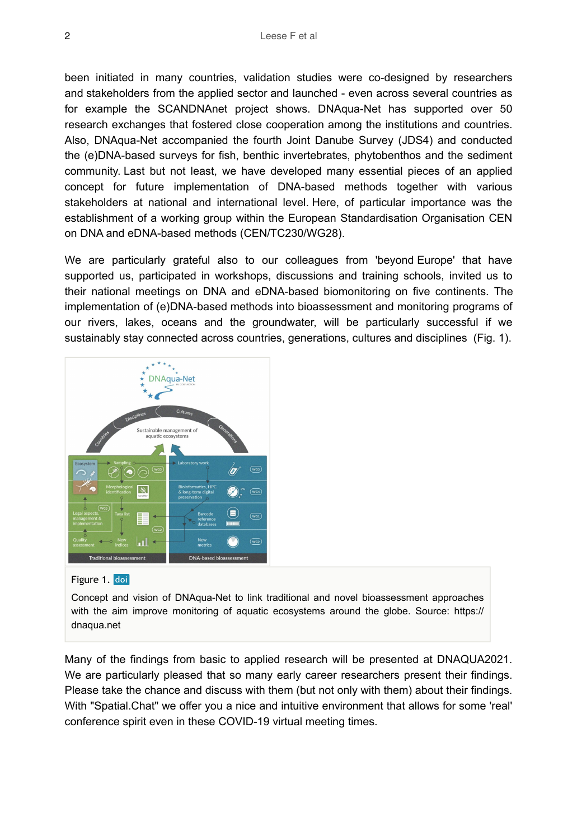been initiated in many countries, validation studies were co-designed by researchers and stakeholders from the applied sector and launched - even across several countries as for example the SCANDNAnet project shows. DNAqua-Net has supported over 50 research exchanges that fostered close cooperation among the institutions and countries. Also, DNAqua-Net accompanied the fourth Joint Danube Survey (JDS4) and conducted the (e)DNA-based surveys for fish, benthic invertebrates, phytobenthos and the sediment community. Last but not least, we have developed many essential pieces of an applied concept for future implementation of DNA-based methods together with various stakeholders at national and international level. Here, of particular importance was the establishment of a working group within the European Standardisation Organisation CEN on DNA and eDNA-based methods (CEN/TC230/WG28).

We are particularly grateful also to our colleagues from 'beyond Europe' that have supported us, participated in workshops, discussions and training schools, invited us to their national meetings on DNA and eDNA-based biomonitoring on five continents. The implementation of (e)DNA-based methods into bioassessment and monitoring programs of our rivers, lakes, oceans and the groundwater, will be particularly successful if we sustainably stay connected across countries, generations, cultures and disciplines (Fig. 1).



Figure 1. doi

Concept and vision of DNAqua-Net to link traditional and novel bioassessment approaches with the aim improve monitoring of aquatic ecosystems around the globe. Source: https:// dnaqua.net

Many of the findings from basic to applied research will be presented at DNAQUA2021. We are particularly pleased that so many early career researchers present their findings. Please take the chance and discuss with them (but not only with them) about their findings. With "Spatial.Chat" we offer you a nice and intuitive environment that allows for some 'real' conference spirit even in these COVID-19 virtual meeting times.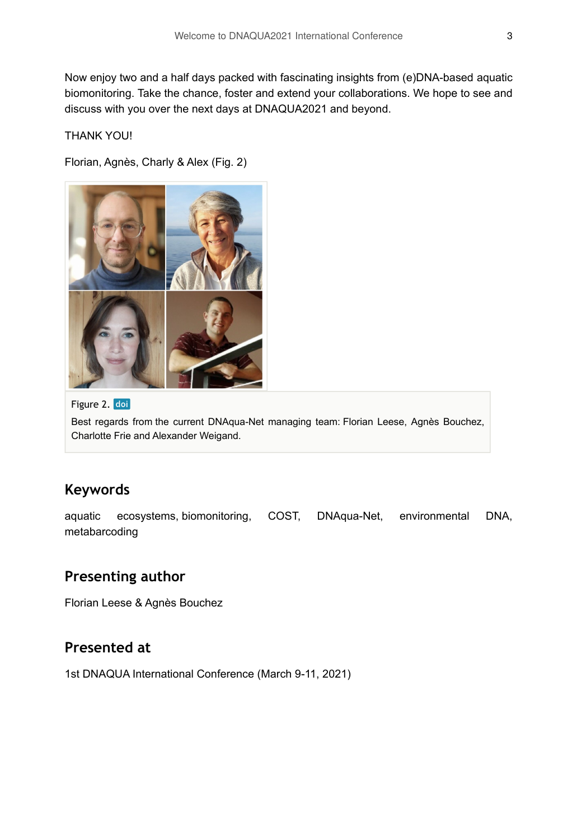Now enjoy two and a half days packed with fascinating insights from (e)DNA-based aquatic biomonitoring. Take the chance, foster and extend your collaborations. We hope to see and discuss with you over the next days at DNAQUA2021 and beyond.

#### THANK YOU!

Florian, Agnès, Charly & Alex (Fig. 2)



Figure 2. doi

Best regards from the current DNAqua-Net managing team: Florian Leese, Agnès Bouchez, Charlotte Frie and Alexander Weigand.

### **Keywords**

aquatic ecosystems, biomonitoring, COST, DNAqua-Net, environmental DNA, metabarcoding

#### **Presenting author**

Florian Leese & Agnès Bouchez

#### **Presented at**

1st DNAQUA International Conference (March 9-11, 2021)